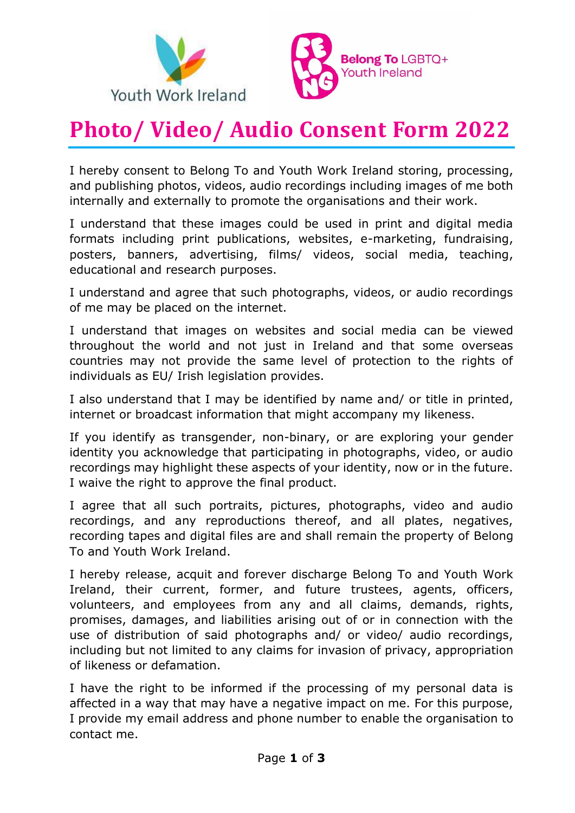



# **Photo/ Video/ Audio Consent Form 2022**

I hereby consent to Belong To and Youth Work Ireland storing, processing, and publishing photos, videos, audio recordings including images of me both internally and externally to promote the organisations and their work.

I understand that these images could be used in print and digital media formats including print publications, websites, e-marketing, fundraising, posters, banners, advertising, films/ videos, social media, teaching, educational and research purposes.

I understand and agree that such photographs, videos, or audio recordings of me may be placed on the internet.

I understand that images on websites and social media can be viewed throughout the world and not just in Ireland and that some overseas countries may not provide the same level of protection to the rights of individuals as EU/ Irish legislation provides.

I also understand that I may be identified by name and/ or title in printed, internet or broadcast information that might accompany my likeness.

If you identify as transgender, non-binary, or are exploring your gender identity you acknowledge that participating in photographs, video, or audio recordings may highlight these aspects of your identity, now or in the future. I waive the right to approve the final product.

I agree that all such portraits, pictures, photographs, video and audio recordings, and any reproductions thereof, and all plates, negatives, recording tapes and digital files are and shall remain the property of Belong To and Youth Work Ireland.

I hereby release, acquit and forever discharge Belong To and Youth Work Ireland, their current, former, and future trustees, agents, officers, volunteers, and employees from any and all claims, demands, rights, promises, damages, and liabilities arising out of or in connection with the use of distribution of said photographs and/ or video/ audio recordings, including but not limited to any claims for invasion of privacy, appropriation of likeness or defamation.

I have the right to be informed if the processing of my personal data is affected in a way that may have a negative impact on me. For this purpose, I provide my email address and phone number to enable the organisation to contact me.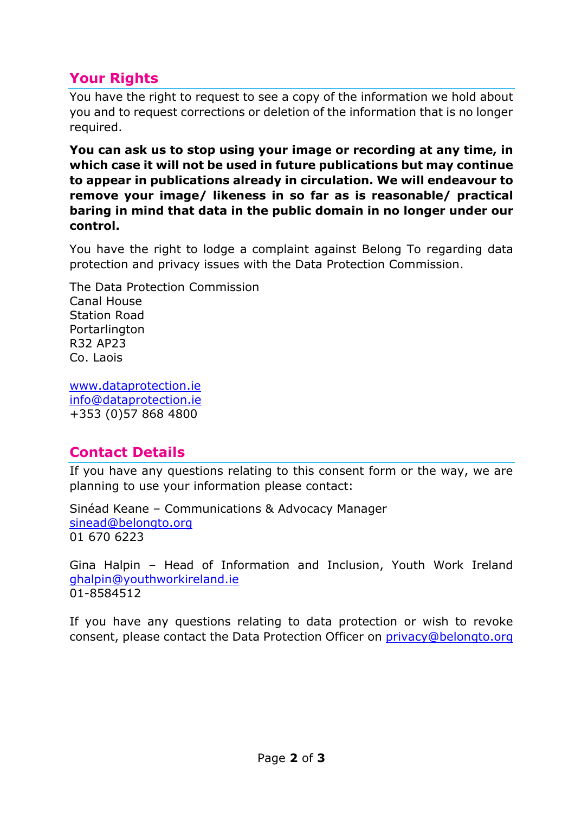## **Your Rights**

You have the right to request to see a copy of the information we hold about you and to request corrections or deletion of the information that is no longer required.

**You can ask us to stop using your image or recording at any time, in which case it will not be used in future publications but may continue to appear in publications already in circulation. We will endeavour to remove your image/ likeness in so far as is reasonable/ practical baring in mind that data in the public domain in no longer under our control.**

You have the right to lodge a complaint against Belong To regarding data protection and privacy issues with the Data Protection Commission.

The Data Protection Commission Canal House Station Road Portarlington R32 AP23 Co. Laois

[www.dataprotection.ie](http://www.dataprotection.ie/) [info@dataprotection.ie](mailto:info@dataprotection.ie) +353 (0)57 868 4800

### **Contact Details**

If you have any questions relating to this consent form or the way, we are planning to use your information please contact:

Sinéad Keane – Communications & Advocacy Manager [sinead@belongto.org](mailto:sinead@belongto.org) 01 670 6223

Gina Halpin – Head of Information and Inclusion, Youth Work Ireland ghalpin@youthworkireland.ie 01-8584512

If you have any questions relating to data protection or wish to revoke consent, please contact the Data Protection Officer on [privacy@belongto.org](mailto:privacy@belongto.org)